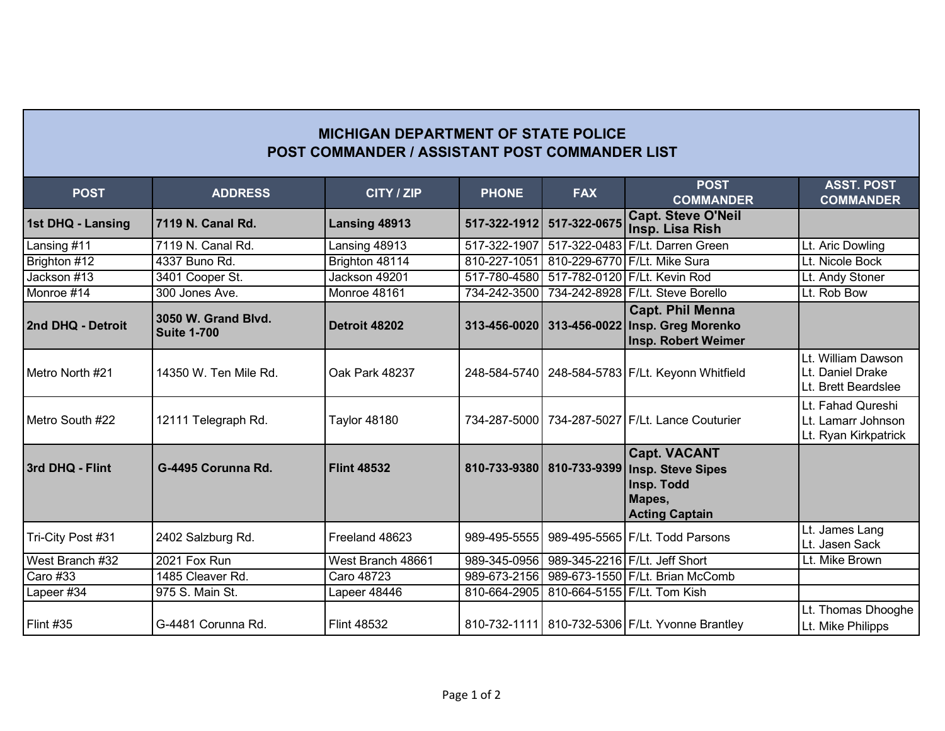## **MICHIGAN DEPARTMENT OF STATE POLICE POST COMMANDER / ASSISTANT POST COMMANDER LIST**

| <b>POST</b>            | <b>ADDRESS</b>                            | CITY / ZIP          | <b>PHONE</b> | <b>FAX</b>   | <b>POST</b><br><b>COMMANDER</b>                                                                  | <b>ASST. POST</b><br><b>COMMANDER</b>                           |
|------------------------|-------------------------------------------|---------------------|--------------|--------------|--------------------------------------------------------------------------------------------------|-----------------------------------------------------------------|
| 1st DHQ - Lansing      | 7119 N. Canal Rd.                         | Lansing 48913       | 517-322-1912 | 517-322-0675 | <b>Capt. Steve O'Neil</b><br>Insp. Lisa Rish                                                     |                                                                 |
| Lansing #11            | 7119 N. Canal Rd.                         | Lansing 48913       | 517-322-1907 |              | 517-322-0483 F/Lt. Darren Green                                                                  | Lt. Aric Dowling                                                |
| Brighton #12           | 4337 Buno Rd.                             | Brighton 48114      | 810-227-1051 | 810-229-6770 | F/Lt. Mike Sura                                                                                  | Lt. Nicole Bock                                                 |
| Jackson #13            | 3401 Cooper St.                           | Jackson 49201       | 517-780-4580 |              | 517-782-0120 F/Lt. Kevin Rod                                                                     | Lt. Andy Stoner                                                 |
| Monroe $\frac{1}{414}$ | 300 Jones Ave.                            | Monroe 48161        | 734-242-3500 | 734-242-8928 | F/Lt. Steve Borello                                                                              | Lt. Rob Bow                                                     |
| 2nd DHQ - Detroit      | 3050 W. Grand Blyd.<br><b>Suite 1-700</b> | Detroit 48202       | 313-456-0020 |              | <b>Capt. Phil Menna</b><br>313-456-0022 Insp. Greg Morenko<br>Insp. Robert Weimer                |                                                                 |
| Metro North #21        | 14350 W. Ten Mile Rd.                     | Oak Park 48237      |              |              | 248-584-5740   248-584-5783   F/Lt. Keyonn Whitfield                                             | Lt. William Dawson<br>Lt. Daniel Drake<br>Lt. Brett Beardslee   |
| Metro South #22        | 12111 Telegraph Rd.                       | <b>Taylor 48180</b> |              |              | 734-287-5000 734-287-5027 F/Lt. Lance Couturier                                                  | Lt. Fahad Qureshi<br>Lt. Lamarr Johnson<br>Lt. Ryan Kirkpatrick |
| 3rd DHQ - Flint        | G-4495 Corunna Rd.                        | <b>Flint 48532</b>  | 810-733-9380 | 810-733-9399 | <b>Capt. VACANT</b><br><b>Insp. Steve Sipes</b><br>Insp. Todd<br>Mapes,<br><b>Acting Captain</b> |                                                                 |
| Tri-City Post #31      | 2402 Salzburg Rd.                         | Freeland 48623      | 989-495-5555 |              | 989-495-5565 F/Lt. Todd Parsons                                                                  | Lt. James Lang<br>Lt. Jasen Sack                                |
| West Branch #32        | 2021 Fox Run                              | West Branch 48661   | 989-345-0956 |              | 989-345-2216 F/Lt. Jeff Short                                                                    | Lt. Mike Brown                                                  |
| Caro #33               | 1485 Cleaver Rd.                          | Caro 48723          | 989-673-2156 |              | 989-673-1550 F/Lt. Brian McComb                                                                  |                                                                 |
| Lapeer $\#34$          | 975 S. Main St.                           | Lapeer 48446        | 810-664-2905 |              | 810-664-5155 F/Lt. Tom Kish                                                                      |                                                                 |
| <b>Flint #35</b>       | G-4481 Corunna Rd.                        | <b>Flint 48532</b>  |              |              | 810-732-1111 810-732-5306 F/Lt. Yvonne Brantley                                                  | Lt. Thomas Dhooghe<br>Lt. Mike Philipps                         |